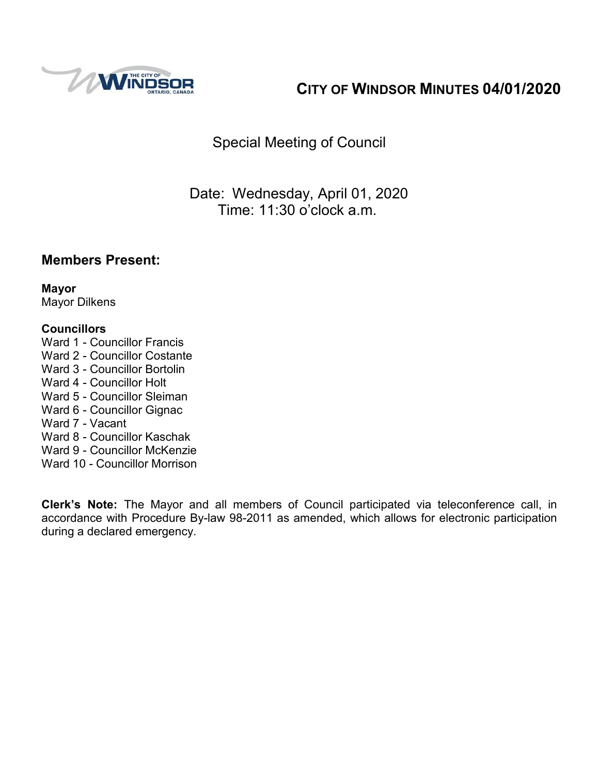

# **CITY OF WINDSOR MINUTES 04/01/2020**

Special Meeting of Council

Date: Wednesday, April 01, 2020 Time: 11:30 o'clock a.m.

## **Members Present:**

**Mayor** Mayor Dilkens

#### **Councillors**

- Ward 1 Councillor Francis
- Ward 2 Councillor Costante
- Ward 3 Councillor Bortolin
- Ward 4 Councillor Holt
- Ward 5 Councillor Sleiman
- Ward 6 Councillor Gignac
- Ward 7 Vacant
- Ward 8 Councillor Kaschak
- Ward 9 Councillor McKenzie
- Ward 10 Councillor Morrison

**Clerk's Note:** The Mayor and all members of Council participated via teleconference call, in accordance with Procedure By-law 98-2011 as amended, which allows for electronic participation during a declared emergency.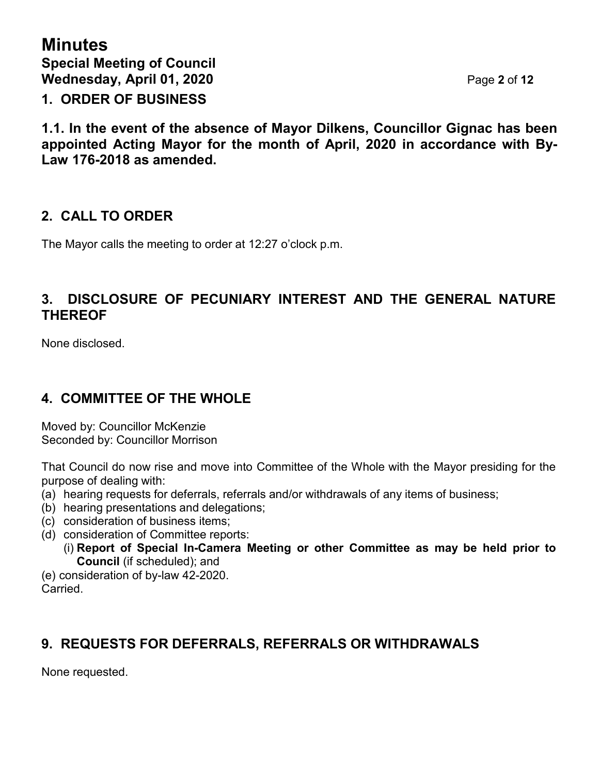**Minutes Special Meeting of Council Wednesday, April 01, 2020** Page **2** of **12 1. ORDER OF BUSINESS**

**1.1. In the event of the absence of Mayor Dilkens, Councillor Gignac has been appointed Acting Mayor for the month of April, 2020 in accordance with By-Law 176-2018 as amended.**

## **2. CALL TO ORDER**

The Mayor calls the meeting to order at 12:27 o'clock p.m.

## **3. DISCLOSURE OF PECUNIARY INTEREST AND THE GENERAL NATURE THEREOF**

None disclosed.

## **4. COMMITTEE OF THE WHOLE**

Moved by: Councillor McKenzie Seconded by: Councillor Morrison

That Council do now rise and move into Committee of the Whole with the Mayor presiding for the purpose of dealing with:

- (a) hearing requests for deferrals, referrals and/or withdrawals of any items of business;
- (b) hearing presentations and delegations;
- (c) consideration of business items;
- (d) consideration of Committee reports:
	- (i) **Report of Special In-Camera Meeting or other Committee as may be held prior to Council** (if scheduled); and

(e) consideration of by-law 42-2020. **Carried** 

## **9. REQUESTS FOR DEFERRALS, REFERRALS OR WITHDRAWALS**

None requested.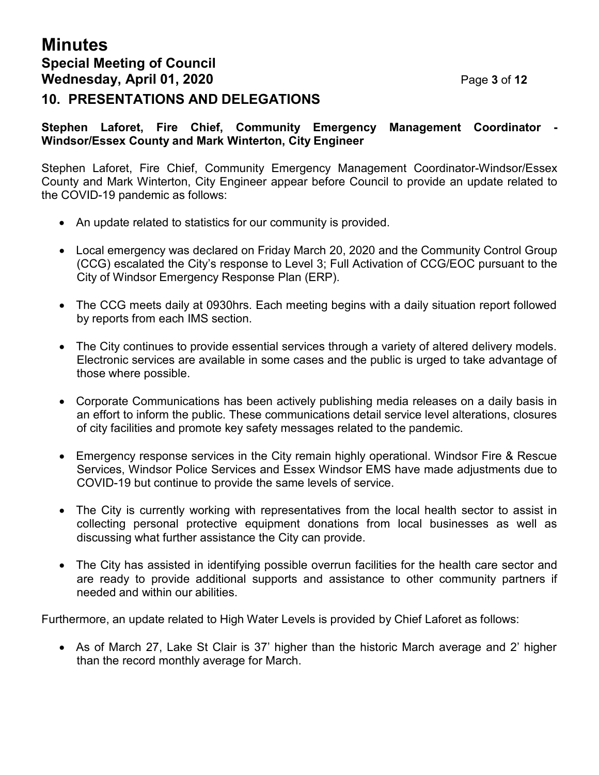# **Minutes Special Meeting of Council Wednesday, April 01, 2020** Page **3** of **12**

### **10. PRESENTATIONS AND DELEGATIONS**

#### **Stephen Laforet, Fire Chief, Community Emergency Management Coordinator - Windsor/Essex County and Mark Winterton, City Engineer**

Stephen Laforet, Fire Chief, Community Emergency Management Coordinator-Windsor/Essex County and Mark Winterton, City Engineer appear before Council to provide an update related to the COVID-19 pandemic as follows:

- An update related to statistics for our community is provided.
- Local emergency was declared on Friday March 20, 2020 and the Community Control Group (CCG) escalated the City's response to Level 3; Full Activation of CCG/EOC pursuant to the City of Windsor Emergency Response Plan (ERP).
- The CCG meets daily at 0930hrs. Each meeting begins with a daily situation report followed by reports from each IMS section.
- The City continues to provide essential services through a variety of altered delivery models. Electronic services are available in some cases and the public is urged to take advantage of those where possible.
- Corporate Communications has been actively publishing media releases on a daily basis in an effort to inform the public. These communications detail service level alterations, closures of city facilities and promote key safety messages related to the pandemic.
- Emergency response services in the City remain highly operational. Windsor Fire & Rescue Services, Windsor Police Services and Essex Windsor EMS have made adjustments due to COVID-19 but continue to provide the same levels of service.
- The City is currently working with representatives from the local health sector to assist in collecting personal protective equipment donations from local businesses as well as discussing what further assistance the City can provide.
- The City has assisted in identifying possible overrun facilities for the health care sector and are ready to provide additional supports and assistance to other community partners if needed and within our abilities.

Furthermore, an update related to High Water Levels is provided by Chief Laforet as follows:

• As of March 27, Lake St Clair is 37' higher than the historic March average and 2' higher than the record monthly average for March.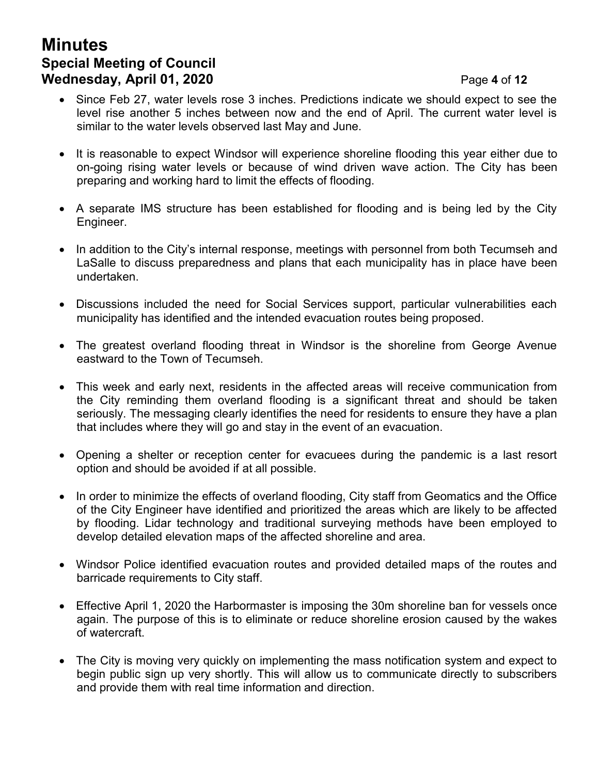# **Minutes Special Meeting of Council Wednesday, April 01, 2020** Page **4** of **12**

- Since Feb 27, water levels rose 3 inches. Predictions indicate we should expect to see the level rise another 5 inches between now and the end of April. The current water level is similar to the water levels observed last May and June.
- It is reasonable to expect Windsor will experience shoreline flooding this year either due to on-going rising water levels or because of wind driven wave action. The City has been preparing and working hard to limit the effects of flooding.
- A separate IMS structure has been established for flooding and is being led by the City Engineer.
- In addition to the City's internal response, meetings with personnel from both Tecumseh and LaSalle to discuss preparedness and plans that each municipality has in place have been undertaken.
- Discussions included the need for Social Services support, particular vulnerabilities each municipality has identified and the intended evacuation routes being proposed.
- The greatest overland flooding threat in Windsor is the shoreline from George Avenue eastward to the Town of Tecumseh.
- This week and early next, residents in the affected areas will receive communication from the City reminding them overland flooding is a significant threat and should be taken seriously. The messaging clearly identifies the need for residents to ensure they have a plan that includes where they will go and stay in the event of an evacuation.
- Opening a shelter or reception center for evacuees during the pandemic is a last resort option and should be avoided if at all possible.
- In order to minimize the effects of overland flooding, City staff from Geomatics and the Office of the City Engineer have identified and prioritized the areas which are likely to be affected by flooding. Lidar technology and traditional surveying methods have been employed to develop detailed elevation maps of the affected shoreline and area.
- Windsor Police identified evacuation routes and provided detailed maps of the routes and barricade requirements to City staff.
- Effective April 1, 2020 the Harbormaster is imposing the 30m shoreline ban for vessels once again. The purpose of this is to eliminate or reduce shoreline erosion caused by the wakes of watercraft.
- The City is moving very quickly on implementing the mass notification system and expect to begin public sign up very shortly. This will allow us to communicate directly to subscribers and provide them with real time information and direction.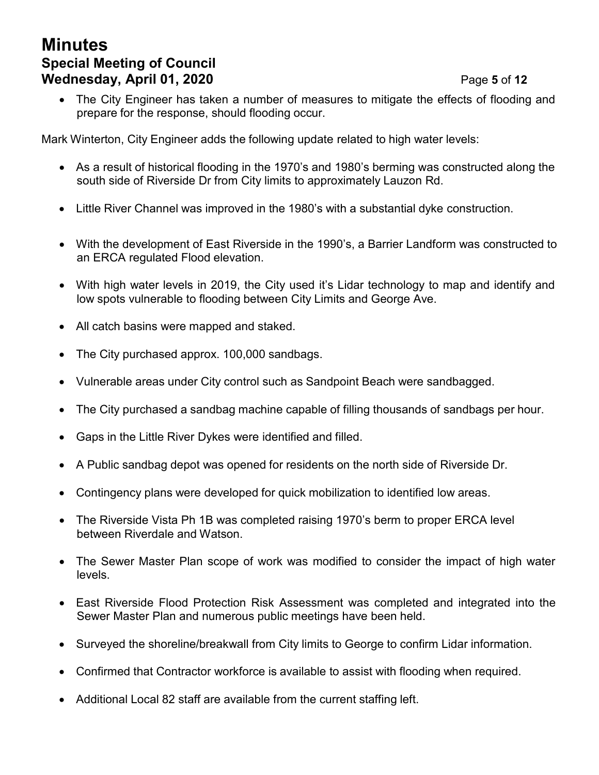# **Minutes Special Meeting of Council Wednesday, April 01, 2020** Page **5** of **12**

#### • The City Engineer has taken a number of measures to mitigate the effects of flooding and prepare for the response, should flooding occur.

Mark Winterton, City Engineer adds the following update related to high water levels:

- As a result of historical flooding in the 1970's and 1980's berming was constructed along the south side of Riverside Dr from City limits to approximately Lauzon Rd.
- Little River Channel was improved in the 1980's with a substantial dyke construction.
- With the development of East Riverside in the 1990's, a Barrier Landform was constructed to an ERCA regulated Flood elevation.
- With high water levels in 2019, the City used it's Lidar technology to map and identify and low spots vulnerable to flooding between City Limits and George Ave.
- All catch basins were mapped and staked.
- The City purchased approx. 100,000 sandbags.
- Vulnerable areas under City control such as Sandpoint Beach were sandbagged.
- The City purchased a sandbag machine capable of filling thousands of sandbags per hour.
- Gaps in the Little River Dykes were identified and filled.
- A Public sandbag depot was opened for residents on the north side of Riverside Dr.
- Contingency plans were developed for quick mobilization to identified low areas.
- The Riverside Vista Ph 1B was completed raising 1970's berm to proper ERCA level between Riverdale and Watson.
- The Sewer Master Plan scope of work was modified to consider the impact of high water levels.
- East Riverside Flood Protection Risk Assessment was completed and integrated into the Sewer Master Plan and numerous public meetings have been held.
- Surveyed the shoreline/breakwall from City limits to George to confirm Lidar information.
- Confirmed that Contractor workforce is available to assist with flooding when required.
- Additional Local 82 staff are available from the current staffing left.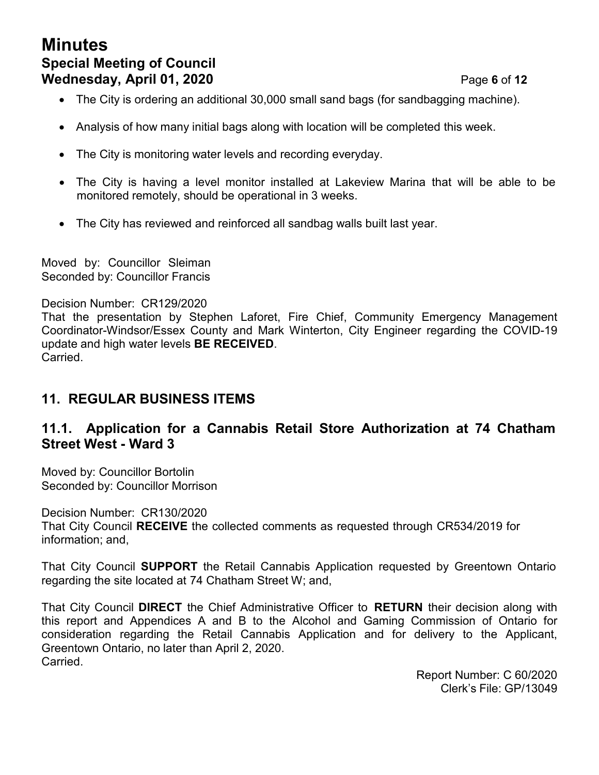# **Minutes Special Meeting of Council Wednesday, April 01, 2020** Page **6** of **12**

- The City is ordering an additional 30,000 small sand bags (for sandbagging machine).
- Analysis of how many initial bags along with location will be completed this week.
- The City is monitoring water levels and recording everyday.
- The City is having a level monitor installed at Lakeview Marina that will be able to be monitored remotely, should be operational in 3 weeks.
- The City has reviewed and reinforced all sandbag walls built last year.

Moved by: Councillor Sleiman Seconded by: Councillor Francis

Decision Number: CR129/2020

That the presentation by Stephen Laforet, Fire Chief, Community Emergency Management Coordinator-Windsor/Essex County and Mark Winterton, City Engineer regarding the COVID-19 update and high water levels **BE RECEIVED**. Carried.

## **11. REGULAR BUSINESS ITEMS**

## **11.1. Application for a Cannabis Retail Store Authorization at 74 Chatham Street West - Ward 3**

Moved by: Councillor Bortolin Seconded by: Councillor Morrison

Decision Number: CR130/2020 That City Council **RECEIVE** the collected comments as requested through CR534/2019 for information; and,

That City Council **SUPPORT** the Retail Cannabis Application requested by Greentown Ontario regarding the site located at 74 Chatham Street W; and,

That City Council **DIRECT** the Chief Administrative Officer to **RETURN** their decision along with this report and Appendices A and B to the Alcohol and Gaming Commission of Ontario for consideration regarding the Retail Cannabis Application and for delivery to the Applicant, Greentown Ontario, no later than April 2, 2020. Carried.

> Report Number: C 60/2020 Clerk's File: GP/13049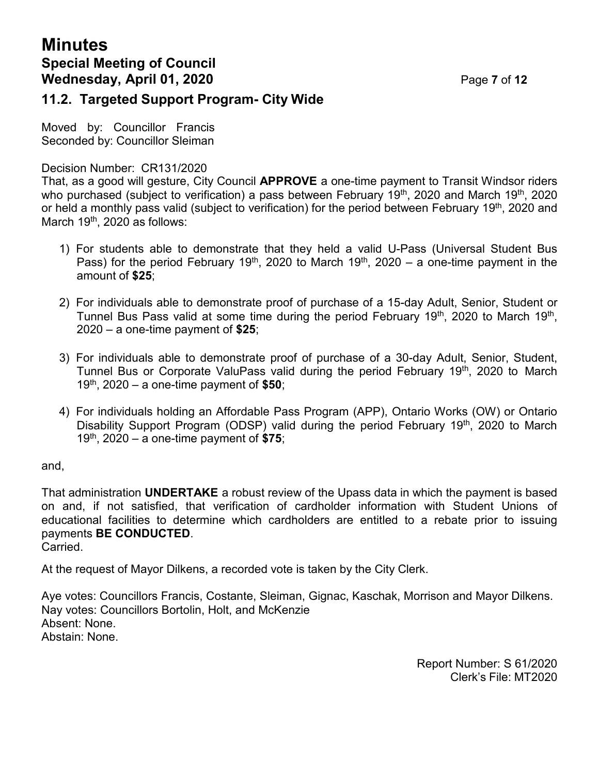# **Minutes Special Meeting of Council Wednesday, April 01, 2020** Page **7** of **12**

### **11.2. Targeted Support Program- City Wide**

Moved by: Councillor Francis Seconded by: Councillor Sleiman

Decision Number: CR131/2020

That, as a good will gesture, City Council **APPROVE** a one-time payment to Transit Windsor riders who purchased (subject to verification) a pass between February 19<sup>th</sup>, 2020 and March 19<sup>th</sup>, 2020 or held a monthly pass valid (subject to verification) for the period between February 19<sup>th</sup>, 2020 and March 19<sup>th</sup>, 2020 as follows:

- 1) For students able to demonstrate that they held a valid U-Pass (Universal Student Bus Pass) for the period February 19<sup>th</sup>, 2020 to March 19<sup>th</sup>, 2020 – a one-time payment in the amount of **\$25**;
- 2) For individuals able to demonstrate proof of purchase of a 15-day Adult, Senior, Student or Tunnel Bus Pass valid at some time during the period February 19<sup>th</sup>, 2020 to March 19<sup>th</sup>, 2020 – a one-time payment of **\$25**;
- 3) For individuals able to demonstrate proof of purchase of a 30-day Adult, Senior, Student, Tunnel Bus or Corporate ValuPass valid during the period February 19<sup>th</sup>, 2020 to March 19th , 2020 – a one-time payment of **\$50**;
- 4) For individuals holding an Affordable Pass Program (APP), Ontario Works (OW) or Ontario Disability Support Program (ODSP) valid during the period February 19<sup>th</sup>, 2020 to March 19th , 2020 – a one-time payment of **\$75**;

and,

That administration **UNDERTAKE** a robust review of the Upass data in which the payment is based on and, if not satisfied, that verification of cardholder information with Student Unions of educational facilities to determine which cardholders are entitled to a rebate prior to issuing payments **BE CONDUCTED**. Carried.

At the request of Mayor Dilkens, a recorded vote is taken by the City Clerk.

Aye votes: Councillors Francis, Costante, Sleiman, Gignac, Kaschak, Morrison and Mayor Dilkens. Nay votes: Councillors Bortolin, Holt, and McKenzie Absent: None. Abstain: None.

> Report Number: S 61/2020 Clerk's File: MT2020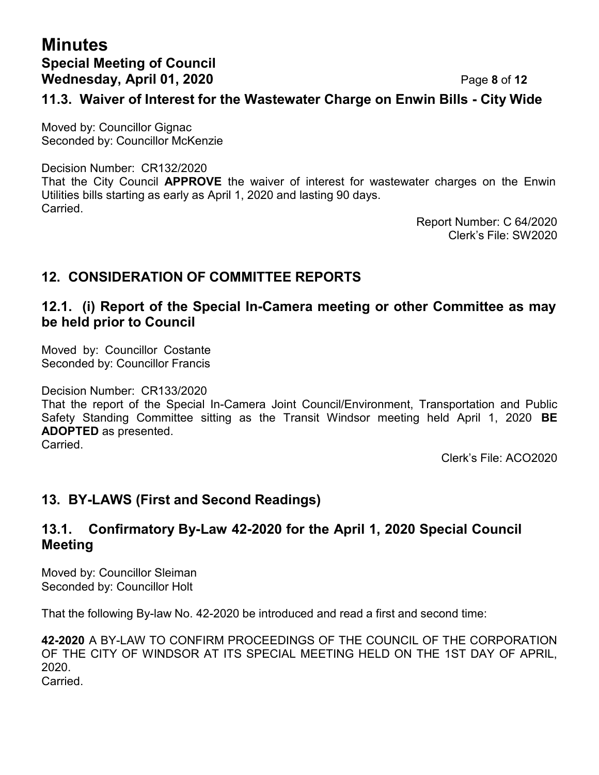# **Minutes Special Meeting of Council Wednesday, April 01, 2020** Page **8** of **12**

### **11.3. Waiver of Interest for the Wastewater Charge on Enwin Bills - City Wide**

Moved by: Councillor Gignac Seconded by: Councillor McKenzie

Decision Number: CR132/2020

That the City Council **APPROVE** the waiver of interest for wastewater charges on the Enwin Utilities bills starting as early as April 1, 2020 and lasting 90 days. **Carried** 

Report Number: C 64/2020 Clerk's File: SW2020

## **12. CONSIDERATION OF COMMITTEE REPORTS**

### **12.1. (i) Report of the Special In-Camera meeting or other Committee as may be held prior to Council**

Moved by: Councillor Costante Seconded by: Councillor Francis

Decision Number: CR133/2020

That the report of the Special In-Camera Joint Council/Environment, Transportation and Public Safety Standing Committee sitting as the Transit Windsor meeting held April 1, 2020 **BE ADOPTED** as presented.

Carried.

Clerk's File: ACO2020

## **13. BY-LAWS (First and Second Readings)**

## **13.1. Confirmatory By-Law 42-2020 for the April 1, 2020 Special Council Meeting**

Moved by: Councillor Sleiman Seconded by: Councillor Holt

That the following By-law No. 42-2020 be introduced and read a first and second time:

**42-2020** A BY-LAW TO CONFIRM PROCEEDINGS OF THE COUNCIL OF THE CORPORATION OF THE CITY OF WINDSOR AT ITS SPECIAL MEETING HELD ON THE 1ST DAY OF APRIL, 2020.

Carried.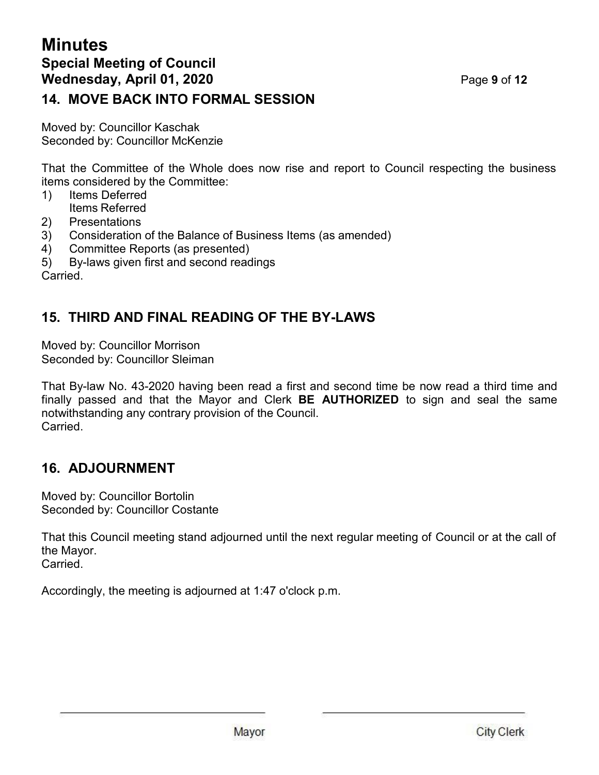## **Minutes Special Meeting of Council Wednesday, April 01, 2020** Page **9** of **12 14. MOVE BACK INTO FORMAL SESSION**

Moved by: Councillor Kaschak Seconded by: Councillor McKenzie

That the Committee of the Whole does now rise and report to Council respecting the business items considered by the Committee:

- 1) Items Deferred Items Referred
- 2) Presentations
- 3) Consideration of the Balance of Business Items (as amended)
- 4) Committee Reports (as presented)
- 5) By-laws given first and second readings

Carried.

## **15. THIRD AND FINAL READING OF THE BY-LAWS**

Moved by: Councillor Morrison Seconded by: Councillor Sleiman

That By-law No. 43-2020 having been read a first and second time be now read a third time and finally passed and that the Mayor and Clerk **BE AUTHORIZED** to sign and seal the same notwithstanding any contrary provision of the Council. Carried.

## **16. ADJOURNMENT**

Moved by: Councillor Bortolin Seconded by: Councillor Costante

That this Council meeting stand adjourned until the next regular meeting of Council or at the call of the Mayor. Carried.

Accordingly, the meeting is adjourned at 1:47 o'clock p.m.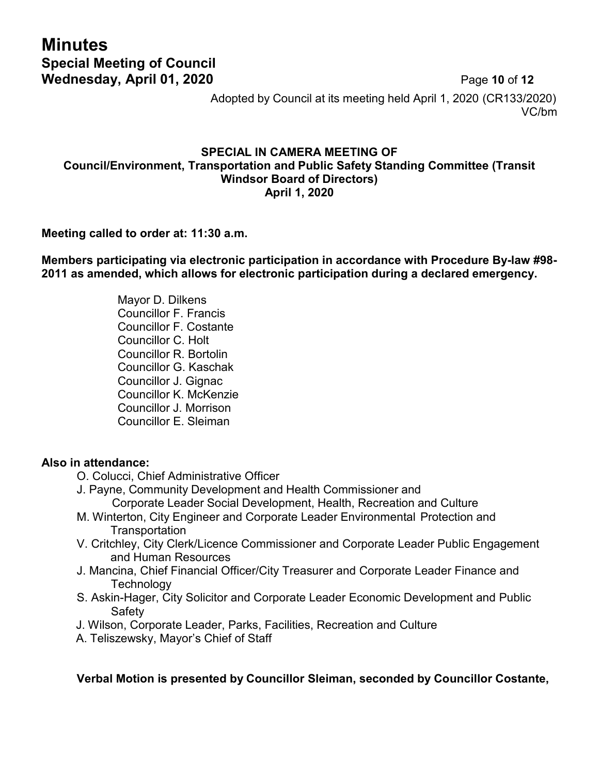# **Minutes Special Meeting of Council Wednesday, April 01, 2020 Page 10 of 12**

Adopted by Council at its meeting held April 1, 2020 (CR133/2020) VC/bm

#### **SPECIAL IN CAMERA MEETING OF Council/Environment, Transportation and Public Safety Standing Committee (Transit Windsor Board of Directors) April 1, 2020**

#### **Meeting called to order at: 11:30 a.m.**

**Members participating via electronic participation in accordance with Procedure By-law #98- 2011 as amended, which allows for electronic participation during a declared emergency.**

> Mayor D. Dilkens Councillor F. Francis Councillor F. Costante Councillor C. Holt Councillor R. Bortolin Councillor G. Kaschak Councillor J. Gignac Councillor K. McKenzie Councillor J. Morrison Councillor E. Sleiman

#### **Also in attendance:**

- O. Colucci, Chief Administrative Officer
- J. Payne, Community Development and Health Commissioner and Corporate Leader Social Development, Health, Recreation and Culture
- M. Winterton, City Engineer and Corporate Leader Environmental Protection and Transportation
- V. Critchley, City Clerk/Licence Commissioner and Corporate Leader Public Engagement and Human Resources
- J. Mancina, Chief Financial Officer/City Treasurer and Corporate Leader Finance and **Technology**
- S. Askin-Hager, City Solicitor and Corporate Leader Economic Development and Public Safety
- J. Wilson, Corporate Leader, Parks, Facilities, Recreation and Culture
- A. Teliszewsky, Mayor's Chief of Staff

**Verbal Motion is presented by Councillor Sleiman, seconded by Councillor Costante,**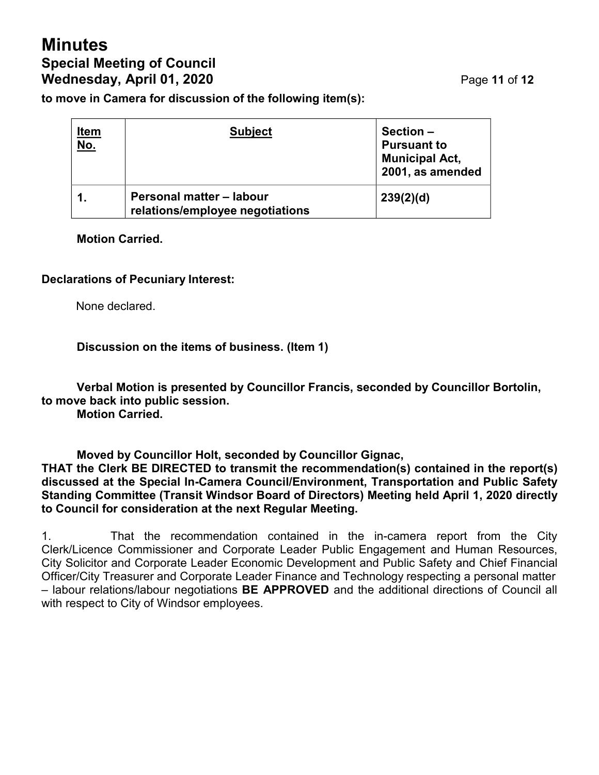# **Minutes Special Meeting of Council Wednesday, April 01, 2020** Page **11** of **12**

**to move in Camera for discussion of the following item(s):**

| <u>Item</u><br><u>No.</u> | <b>Subject</b>                                              | Section -<br><b>Pursuant to</b><br><b>Municipal Act,</b><br>2001, as amended |
|---------------------------|-------------------------------------------------------------|------------------------------------------------------------------------------|
|                           | Personal matter - labour<br>relations/employee negotiations | 239(2)(d)                                                                    |

#### **Motion Carried.**

#### **Declarations of Pecuniary Interest:**

None declared.

#### **Discussion on the items of business. (Item 1)**

**Verbal Motion is presented by Councillor Francis, seconded by Councillor Bortolin, to move back into public session. Motion Carried.**

**Moved by Councillor Holt, seconded by Councillor Gignac,**

**THAT the Clerk BE DIRECTED to transmit the recommendation(s) contained in the report(s) discussed at the Special In-Camera Council/Environment, Transportation and Public Safety Standing Committee (Transit Windsor Board of Directors) Meeting held April 1, 2020 directly to Council for consideration at the next Regular Meeting.**

1. That the recommendation contained in the in-camera report from the City Clerk/Licence Commissioner and Corporate Leader Public Engagement and Human Resources, City Solicitor and Corporate Leader Economic Development and Public Safety and Chief Financial Officer/City Treasurer and Corporate Leader Finance and Technology respecting a personal matter – labour relations/labour negotiations **BE APPROVED** and the additional directions of Council all with respect to City of Windsor employees.